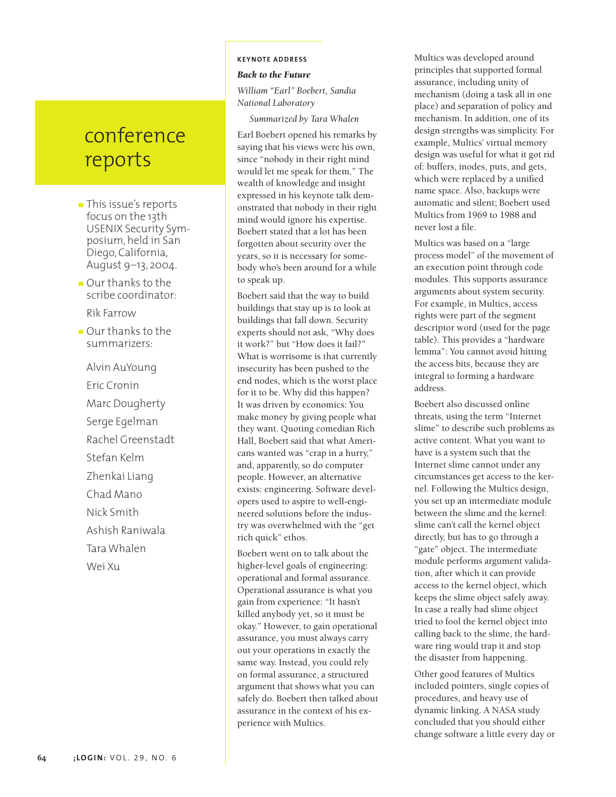# conference reports

- This issue's reports focus on the 13th USENIX Security Symposium, held in San Diego, California, August 9–13, 2004.
- Our thanks to the scribe coordinator:

Rik Farrow

Our thanks to the summarizers:

Alvin AuYoung Eric Cronin Marc Dougherty Serge Egelman Rachel Greenstadt Stefan Kelm Zhenkai Liang Chad Mano Nick Smith Ashish Raniwala Tara Whalen Wei Xu

# **K EYNOTE ADDRESS**

# *Back to the Future*

*William "Earl" Boebert, Sandia National Laboratory*

*Summarized by Tara Whalen*

Earl Boebert opened his remarks by saying that his views were his own, since "nobody in their right mind would let me speak for them." The wealth of knowledge and insight expressed in his keynote talk demonstrated that nobody in their right mind would ignore his expertise. Boebert stated that a lot has been forgotten about security over the years, so it is necessary for somebody who's been around for a while to speak up.

Boebert said that the way to build buildings that stay up is to look at buildings that fall down. Security experts should not ask, "Why does it work?" but "How does it fail?" What is worrisome is that currently insecurity has been pushed to the end nodes, which is the worst place for it to be. Why did this happen? It was driven by economics: You make money by giving people what they want. Quoting comedian Rich Hall, Boebert said that what Americans wanted was "crap in a hurry," and, apparently, so do computer people. However, an alternative exists: engineering. Software developers used to aspire to well-engineered solutions before the industry was overwhelmed with the "get rich quick" ethos.

Boebert went on to talk about the higher-level goals of engineering: operational and formal assurance. Operational assurance is what you gain from experience: "It hasn't killed anybody yet, so it must be okay." However, to gain operational assurance, you must always carry out your operations in exactly the same way. Instead, you could rely on formal assurance, a structured argument that shows what you can safely do. Boebert then talked about assurance in the context of his experience with Multics.

Multics was developed around principles that supported formal assurance, including unity of mechanism (doing a task all in one place) and separation of policy and mechanism. In addition, one of its design strengths was simplicity. For example, Multics' virtual memory design was useful for what it got rid of: buffers, inodes, puts, and gets, which were replaced by a unified name space. Also, backups were automatic and silent; Boebert used Multics from 1969 to 1988 and never lost a file.

Multics was based on a "large process model" of the movement of an execution point through code modules. This supports assurance arguments about system security. For example, in Multics, access rights were part of the segment descriptor word (used for the page table). This provides a "hardware lemma": You cannot avoid hitting the access bits, because they are integral to forming a hardware address.

Boebert also discussed online threats, using the term "Internet slime" to describe such problems as active content. What you want to have is a system such that the Internet slime cannot under any circumstances get access to the kernel. Following the Multics design, you set up an intermediate module between the slime and the kernel: slime can't call the kernel object directly, but has to go through a "gate" object. The intermediate module performs argument validation, after which it can provide access to the kernel object, which keeps the slime object safely away. In case a really bad slime object tried to fool the kernel object into calling back to the slime, the hardware ring would trap it and stop the disaster from happening.

Other good features of Multics included pointers, single copies of procedures, and heavy use of dynamic linking. A NASA study concluded that you should either change software a little every day or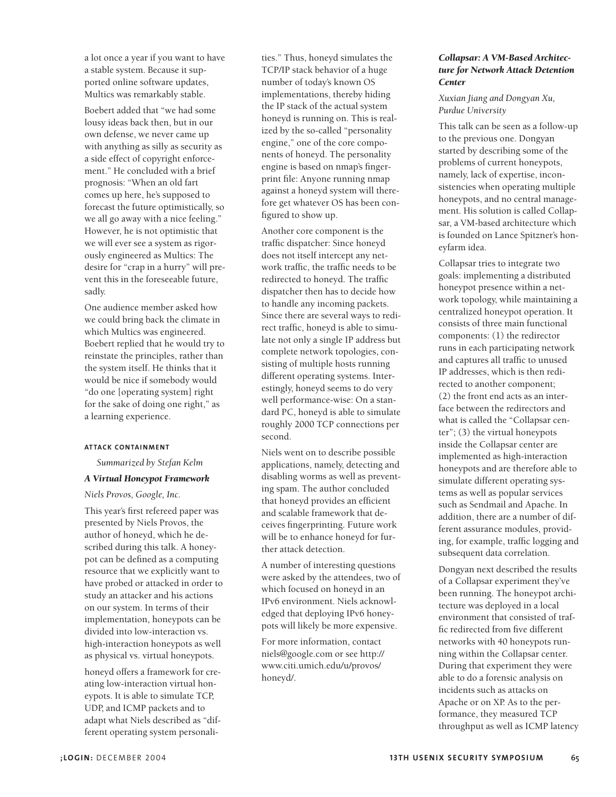a lot once a year if you want to have a stable system. Because it supported online software updates, Multics was remarkably stable.

Boebert added that "we had some lousy ideas back then, but in our own defense, we never came up with anything as silly as security as a side effect of copyright enforcement." He concluded with a brief prognosis: "When an old fart comes up here, he's supposed to forecast the future optimistically, so we all go away with a nice feeling." However, he is not optimistic that we will ever see a system as rigorously engineered as Multics: The desire for "crap in a hurry" will prevent this in the foreseeable future, sadly.

One audience member asked how we could bring back the climate in which Multics was engineered. Boebert replied that he would try to reinstate the principles, rather than the system itself. He thinks that it would be nice if somebody would "do one [operating system] right for the sake of doing one right," as a learning experience.

#### **ATTACK CONTAINMENT**

*Summarized by Stefan Kelm*

## *A Virtual Honeypot Framework*

#### *Niels Provos, Google, Inc.*

This year's first refereed paper was presented by Niels Provos, the author of honeyd, which he described during this talk. A honeypot can be defined as a computing resource that we explicitly want to have probed or attacked in order to study an attacker and his actions on our system. In terms of their implementation, honeypots can be divided into low-interaction vs. high-interaction honeypots as well as physical vs. virtual honeypots.

honeyd offers a framework for creating low-interaction virtual honeypots. It is able to simulate TCP, UDP, and ICMP packets and to adapt what Niels described as "different operating system personali-

ties." Thus, honeyd simulates the TCP/IP stack behavior of a huge number of today's known OS implementations, thereby hiding the IP stack of the actual system honeyd is running on. This is realized by the so-called "personality engine," one of the core components of honeyd. The personality engine is based on nmap's fingerprint file: Anyone running nmap against a honeyd system will therefore get whatever OS has been configured to show up.

Another core component is the traffic dispatcher: Since honeyd does not itself intercept any network traffic, the traffic needs to be redirected to honeyd. The traffic dispatcher then has to decide how to handle any incoming packets. Since there are several ways to redirect traffic, honeyd is able to simulate not only a single IP address but complete network topologies, consisting of multiple hosts running different operating systems. Interestingly, honeyd seems to do very well performance-wise: On a standard PC, honeyd is able to simulate roughly 2000 TCP connections per second.

Niels went on to describe possible applications, namely, detecting and disabling worms as well as preventing spam. The author concluded that honeyd provides an efficient and scalable framework that deceives fingerprinting. Future work will be to enhance honeyd for further attack detection.

A number of interesting questions were asked by the attendees, two of which focused on honeyd in an IPv6 environment. Niels acknowledged that deploying IPv6 honeypots will likely be more expensive.

For more information, contact niels@google.com or see http:// www.citi.umich.edu/u/provos/ honeyd/.

## *Collapsar: A VM-Based Architecture for Network Attack Detention Center*

*Xuxian Jiang and Dongyan Xu, Purdue University*

This talk can be seen as a follow-up to the previous one. Dongyan started by describing some of the problems of current honeypots, namely, lack of expertise, inconsistencies when operating multiple honeypots, and no central management. His solution is called Collapsar, a VM-based architecture which is founded on Lance Spitzner's honeyfarm idea.

Collapsar tries to integrate two goals: implementing a distributed honeypot presence within a network topology, while maintaining a centralized honeypot operation. It consists of three main functional components: (1) the redirector runs in each participating network and captures all traffic to unused IP addresses, which is then redirected to another component; (2) the front end acts as an interface between the redirectors and what is called the "Collapsar center"; (3) the virtual honeypots inside the Collapsar center are implemented as high-interaction honeypots and are therefore able to simulate different operating systems as well as popular services such as Sendmail and Apache. In addition, there are a number of different assurance modules, providing, for example, traffic logging and subsequent data correlation.

Dongyan next described the results of a Collapsar experiment they've been running. The honeypot architecture was deployed in a local environment that consisted of traffic redirected from five different networks with 40 honeypots running within the Collapsar center. During that experiment they were able to do a forensic analysis on incidents such as attacks on Apache or on XP. As to the performance, they measured TCP throughput as well as ICMP latency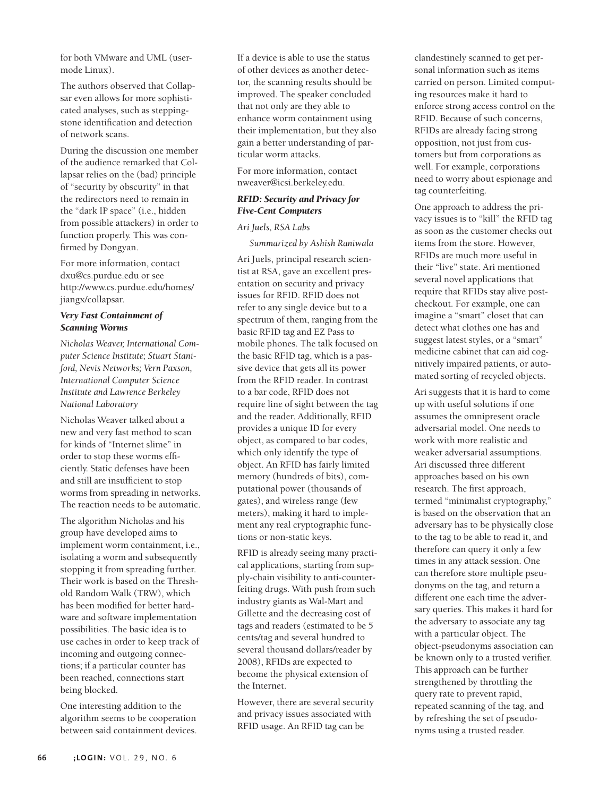for both VMware and UML (usermode Linux).

The authors observed that Collapsar even allows for more sophisticated analyses, such as steppingstone identification and detection of network scans.

During the discussion one member of the audience remarked that Collapsar relies on the (bad) principle of "security by obscurity" in that the redirectors need to remain in the "dark IP space" (i.e., hidden from possible attackers) in order to function properly. This was confirmed by Dongyan.

For more information, contact dxu@cs.purdue.edu or see http://www.cs.purdue.edu/homes/ jiangx/collapsar.

#### *Very Fast Containment of Scanning Worms*

*Nicholas Weaver, International Computer Science Institute; Stuart Staniford, Nevis Networks; Vern Paxson, International Computer Science Institute and Lawrence Berkeley National Laboratory*

Nicholas Weaver talked about a new and very fast method to scan for kinds of "Internet slime" in order to stop these worms efficiently. Static defenses have been and still are insufficient to stop worms from spreading in networks. The reaction needs to be automatic.

The algorithm Nicholas and his group have developed aims to implement worm containment, i.e., isolating a worm and subsequently stopping it from spreading further. Their work is based on the Threshold Random Walk (TRW), which has been modified for better hardware and software implementation possibilities. The basic idea is to use caches in order to keep track of incoming and outgoing connections; if a particular counter has been reached, connections start being blocked.

One interesting addition to the algorithm seems to be cooperation between said containment devices.

If a device is able to use the status of other devices as another detector, the scanning results should be improved. The speaker concluded that not only are they able to enhance worm containment using their implementation, but they also gain a better understanding of particular worm attacks.

For more information, contact nweaver@icsi.berkeley.edu.

## *RFID: Security and Privacy for Five-Cent Computers*

#### *Ari Juels, RSA Labs*

*Summarized by Ashish Raniwala*

Ari Juels, principal research scientist at RSA, gave an excellent presentation on security and privacy issues for RFID. RFID does not refer to any single device but to a spectrum of them, ranging from the basic RFID tag and EZ Pass to mobile phones. The talk focused on the basic RFID tag, which is a passive device that gets all its power from the RFID reader. In contrast to a bar code, RFID does not require line of sight between the tag and the reader. Additionally, RFID provides a unique ID for every object, as compared to bar codes, which only identify the type of object. An RFID has fairly limited memory (hundreds of bits), computational power (thousands of gates), and wireless range (few meters), making it hard to implement any real cryptographic functions or non-static keys.

RFID is already seeing many practical applications, starting from supply-chain visibility to anti-counterfeiting drugs. With push from such industry giants as Wal-Mart and Gillette and the decreasing cost of tags and readers (estimated to be 5 cents/tag and several hundred to several thousand dollars/reader by 2008), RFIDs are expected to become the physical extension of the Internet.

However, there are several security and privacy issues associated with RFID usage. An RFID tag can be

clandestinely scanned to get personal information such as items carried on person. Limited computing resources make it hard to enforce strong access control on the RFID. Because of such concerns, RFIDs are already facing strong opposition, not just from customers but from corporations as well. For example, corporations need to worry about espionage and tag counterfeiting.

One approach to address the privacy issues is to "kill" the RFID tag as soon as the customer checks out items from the store. However, RFIDs are much more useful in their "live" state. Ari mentioned several novel applications that require that RFIDs stay alive postcheckout. For example, one can imagine a "smart" closet that can detect what clothes one has and suggest latest styles, or a "smart" medicine cabinet that can aid cognitively impaired patients, or automated sorting of recycled objects.

Ari suggests that it is hard to come up with useful solutions if one assumes the omnipresent oracle adversarial model. One needs to work with more realistic and weaker adversarial assumptions. Ari discussed three different approaches based on his own research. The first approach, termed "minimalist cryptography," is based on the observation that an adversary has to be physically close to the tag to be able to read it, and therefore can query it only a few times in any attack session. One can therefore store multiple pseudonyms on the tag, and return a different one each time the adversary queries. This makes it hard for the adversary to associate any tag with a particular object. The object-pseudonyms association can be known only to a trusted verifier. This approach can be further strengthened by throttling the query rate to prevent rapid, repeated scanning of the tag, and by refreshing the set of pseudonyms using a trusted reader.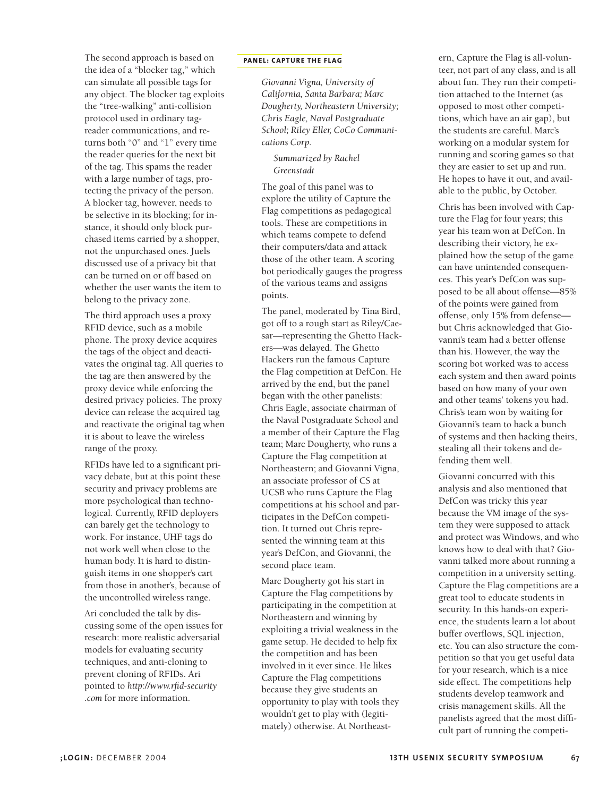The second approach is based on the idea of a "blocker tag," which can simulate all possible tags for any object. The blocker tag exploits the "tree-walking" anti-collision protocol used in ordinary tagreader communications, and returns both "0" and "1" every time the reader queries for the next bit of the tag. This spams the reader with a large number of tags, protecting the privacy of the person. A blocker tag, however, needs to be selective in its blocking; for instance, it should only block purchased items carried by a shopper, not the unpurchased ones. Juels discussed use of a privacy bit that can be turned on or off based on whether the user wants the item to belong to the privacy zone.

The third approach uses a proxy RFID device, such as a mobile phone. The proxy device acquires the tags of the object and deactivates the original tag. All queries to the tag are then answered by the proxy device while enforcing the desired privacy policies. The proxy device can release the acquired tag and reactivate the original tag when it is about to leave the wireless range of the proxy.

RFIDs have led to a significant privacy debate, but at this point these security and privacy problems are more psychological than technological. Currently, RFID deployers can barely get the technology to work. For instance, UHF tags do not work well when close to the human body. It is hard to distinguish items in one shopper's cart from those in another's, because of the uncontrolled wireless range.

Ari concluded the talk by discussing some of the open issues for research: more realistic adversarial models for evaluating security techniques, and anti-cloning to prevent cloning of RFIDs. Ari pointed to *http://www.rfid-security .com* for more information.

#### **PANEL: CAPTURE THE FLAG**

*Giovanni Vigna, University of California, Santa Barbara; Marc Dougherty, Northeastern University; Chris Eagle, Naval Postgraduate School; Riley Eller, CoCo Communications Corp.* 

*Summarized by Rachel Greenstadt*

The goal of this panel was to explore the utility of Capture the Flag competitions as pedagogical tools. These are competitions in which teams compete to defend their computers/data and attack those of the other team. A scoring bot periodically gauges the progress of the various teams and assigns points.

The panel, moderated by Tina Bird, got off to a rough start as Riley/Caesar—representing the Ghetto Hackers—was delayed. The Ghetto Hackers run the famous Capture the Flag competition at DefCon. He arrived by the end, but the panel began with the other panelists: Chris Eagle, associate chairman of the Naval Postgraduate School and a member of their Capture the Flag team; Marc Dougherty, who runs a Capture the Flag competition at Northeastern; and Giovanni Vigna, an associate professor of CS at UCSB who runs Capture the Flag competitions at his school and participates in the DefCon competition. It turned out Chris represented the winning team at this year's DefCon, and Giovanni, the second place team.

Marc Dougherty got his start in Capture the Flag competitions by participating in the competition at Northeastern and winning by exploiting a trivial weakness in the game setup. He decided to help fix the competition and has been involved in it ever since. He likes Capture the Flag competitions because they give students an opportunity to play with tools they wouldn't get to play with (legitimately) otherwise. At Northeastern, Capture the Flag is all-volunteer, not part of any class, and is all about fun. They run their competition attached to the Internet (as opposed to most other competitions, which have an air gap), but the students are careful. Marc's working on a modular system for running and scoring games so that they are easier to set up and run. He hopes to have it out, and available to the public, by October.

Chris has been involved with Capture the Flag for four years; this year his team won at DefCon. In describing their victory, he explained how the setup of the game can have unintended consequences. This year's DefCon was supposed to be all about offense—85% of the points were gained from offense, only 15% from defense but Chris acknowledged that Giovanni's team had a better offense than his. However, the way the scoring bot worked was to access each system and then award points based on how many of your own and other teams' tokens you had. Chris's team won by waiting for Giovanni's team to hack a bunch of systems and then hacking theirs, stealing all their tokens and defending them well.

Giovanni concurred with this analysis and also mentioned that DefCon was tricky this year because the VM image of the system they were supposed to attack and protect was Windows, and who knows how to deal with that? Giovanni talked more about running a competition in a university setting. Capture the Flag competitions are a great tool to educate students in security. In this hands-on experience, the students learn a lot about buffer overflows, SQL injection, etc. You can also structure the competition so that you get useful data for your research, which is a nice side effect. The competitions help students develop teamwork and crisis management skills. All the panelists agreed that the most difficult part of running the competi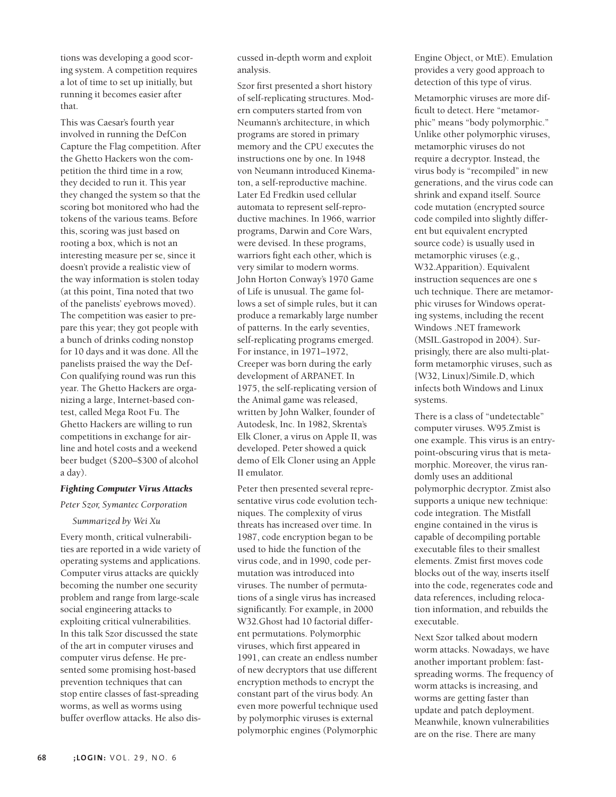tions was developing a good scoring system. A competition requires a lot of time to set up initially, but running it becomes easier after that.

This was Caesar's fourth year involved in running the DefCon Capture the Flag competition. After the Ghetto Hackers won the competition the third time in a row, they decided to run it. This year they changed the system so that the scoring bot monitored who had the tokens of the various teams. Before this, scoring was just based on rooting a box, which is not an interesting measure per se, since it doesn't provide a realistic view of the way information is stolen today (at this point, Tina noted that two of the panelists' eyebrows moved). The competition was easier to prepare this year; they got people with a bunch of drinks coding nonstop for 10 days and it was done. All the panelists praised the way the Def-Con qualifying round was run this year. The Ghetto Hackers are organizing a large, Internet-based contest, called Mega Root Fu. The Ghetto Hackers are willing to run competitions in exchange for airline and hotel costs and a weekend beer budget (\$200–\$300 of alcohol a day).

#### *Fighting Computer Virus Attacks*

#### *Peter Szor, Symantec Corporation*

#### *Summarized by Wei Xu*

Every month, critical vulnerabilities are reported in a wide variety of operating systems and applications. Computer virus attacks are quickly becoming the number one security problem and range from large-scale social engineering attacks to exploiting critical vulnerabilities. In this talk Szor discussed the state of the art in computer viruses and computer virus defense. He presented some promising host-based prevention techniques that can stop entire classes of fast-spreading worms, as well as worms using buffer overflow attacks. He also dis-

cussed in-depth worm and exploit analysis.

Szor first presented a short history of self-replicating structures. Modern computers started from von Neumann's architecture, in which programs are stored in primary memory and the CPU executes the instructions one by one. In 1948 von Neumann introduced Kinematon, a self-reproductive machine. Later Ed Fredkin used cellular automata to represent self-reproductive machines. In 1966, warrior programs, Darwin and Core Wars, were devised. In these programs, warriors fight each other, which is very similar to modern worms. John Horton Conway's 1970 Game of Life is unusual. The game follows a set of simple rules, but it can produce a remarkably large number of patterns. In the early seventies, self-replicating programs emerged. For instance, in 1971–1972, Creeper was born during the early development of ARPANET. In 1975, the self-replicating version of the Animal game was released, written by John Walker, founder of Autodesk, Inc. In 1982, Skrenta's Elk Cloner, a virus on Apple II, was developed. Peter showed a quick demo of Elk Cloner using an Apple II emulator.

Peter then presented several representative virus code evolution techniques. The complexity of virus threats has increased over time. In 1987, code encryption began to be used to hide the function of the virus code, and in 1990, code permutation was introduced into viruses. The number of permutations of a single virus has increased significantly. For example, in 2000 W32.Ghost had 10 factorial different permutations. Polymorphic viruses, which first appeared in 1991, can create an endless number of new decryptors that use different encryption methods to encrypt the constant part of the virus body. An even more powerful technique used by polymorphic viruses is external polymorphic engines (Polymorphic

Engine Object, or MtE). Emulation provides a very good approach to detection of this type of virus.

Metamorphic viruses are more difficult to detect. Here "metamorphic" means "body polymorphic." Unlike other polymorphic viruses, metamorphic viruses do not require a decryptor. Instead, the virus body is "recompiled" in new generations, and the virus code can shrink and expand itself. Source code mutation (encrypted source code compiled into slightly different but equivalent encrypted source code) is usually used in metamorphic viruses (e.g., W32.Apparition). Equivalent instruction sequences are one s uch technique. There are metamorphic viruses for Windows operating systems, including the recent Windows .NET framework (MSIL.Gastropod in 2004). Surprisingly, there are also multi-platform metamorphic viruses, such as {W32, Linux}/Simile.D, which infects both Windows and Linux systems.

There is a class of "undetectable" computer viruses. W95.Zmist is one example. This virus is an entrypoint-obscuring virus that is metamorphic. Moreover, the virus randomly uses an additional polymorphic decryptor. Zmist also supports a unique new technique: code integration. The Mistfall engine contained in the virus is capable of decompiling portable executable files to their smallest elements. Zmist first moves code blocks out of the way, inserts itself into the code, regenerates code and data references, including relocation information, and rebuilds the executable.

Next Szor talked about modern worm attacks. Nowadays, we have another important problem: fastspreading worms. The frequency of worm attacks is increasing, and worms are getting faster than update and patch deployment. Meanwhile, known vulnerabilities are on the rise. There are many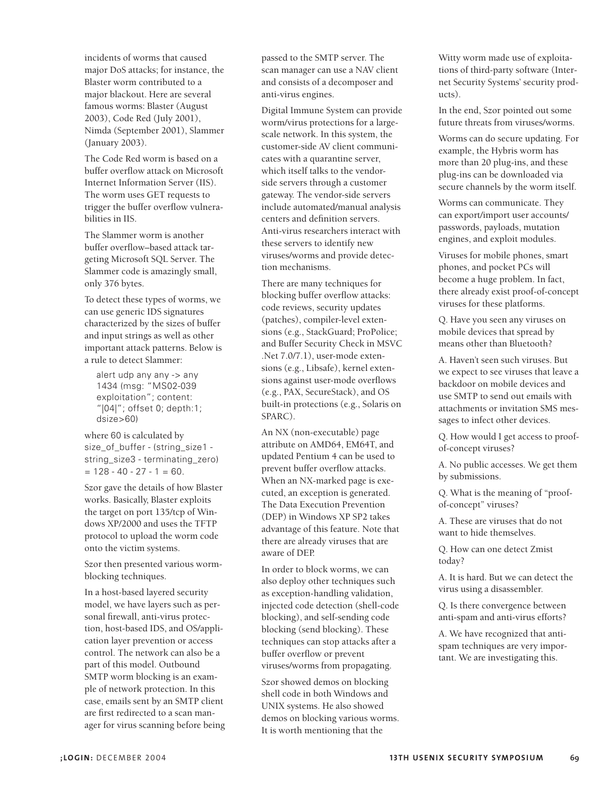incidents of worms that caused major DoS attacks; for instance, the Blaster worm contributed to a major blackout. Here are several famous worms: Blaster (August 2003), Code Red (July 2001), Nimda (September 2001), Slammer (January 2003).

The Code Red worm is based on a buffer overflow attack on Microsoft Internet Information Server (IIS). The worm uses GET requests to trigger the buffer overflow vulnerabilities in IIS.

The Slammer worm is another buffer overflow–based attack targeting Microsoft SQL Server. The Slammer code is amazingly small, only 376 bytes.

To detect these types of worms, we can use generic IDS signatures characterized by the sizes of buffer and input strings as well as other important attack patterns. Below is a rule to detect Slammer:

alert udp any any -> any 1434 (msg: "MS02-039 exploitation"; content: "|04|"; offset 0; depth:1; dsize>60)

where 60 is calculated by size\_of\_buffer - (string\_size1 string\_size3 - terminating\_zero)  $= 128 - 40 - 27 - 1 = 60.$ 

Szor gave the details of how Blaster works. Basically, Blaster exploits the target on port 135/tcp of Windows XP/2000 and uses the TFTP protocol to upload the worm code onto the victim systems.

Szor then presented various wormblocking techniques.

In a host-based layered security model, we have layers such as personal firewall, anti-virus protection, host-based IDS, and OS/application layer prevention or access control. The network can also be a part of this model. Outbound SMTP worm blocking is an example of network protection. In this case, emails sent by an SMTP client are first redirected to a scan manager for virus scanning before being

passed to the SMTP server. The scan manager can use a NAV client and consists of a decomposer and anti-virus engines.

Digital Immune System can provide worm/virus protections for a largescale network. In this system, the customer-side AV client communicates with a quarantine server, which itself talks to the vendorside servers through a customer gateway. The vendor-side servers include automated/manual analysis centers and definition servers. Anti-virus researchers interact with these servers to identify new viruses/worms and provide detection mechanisms.

There are many techniques for blocking buffer overflow attacks: code reviews, security updates (patches), compiler-level extensions (e.g., StackGuard; ProPolice; and Buffer Security Check in MSVC .Net 7.0/7.1), user-mode extensions (e.g., Libsafe), kernel extensions against user-mode overflows (e.g., PAX, SecureStack), and OS built-in protections (e.g., Solaris on SPARC).

An NX (non-executable) page attribute on AMD64, EM64T, and updated Pentium 4 can be used to prevent buffer overflow attacks. When an NX-marked page is executed, an exception is generated. The Data Execution Prevention (DEP) in Windows XP SP2 takes advantage of this feature. Note that there are already viruses that are aware of DEP.

In order to block worms, we can also deploy other techniques such as exception-handling validation, injected code detection (shell-code blocking), and self-sending code blocking (send blocking). These techniques can stop attacks after a buffer overflow or prevent viruses/worms from propagating.

Szor showed demos on blocking shell code in both Windows and UNIX systems. He also showed demos on blocking various worms. It is worth mentioning that the

Witty worm made use of exploitations of third-party software (Internet Security Systems' security products).

In the end, Szor pointed out some future threats from viruses/worms.

Worms can do secure updating. For example, the Hybris worm has more than 20 plug-ins, and these plug-ins can be downloaded via secure channels by the worm itself.

Worms can communicate. They can export/import user accounts/ passwords, payloads, mutation engines, and exploit modules.

Viruses for mobile phones, smart phones, and pocket PCs will become a huge problem. In fact, there already exist proof-of-concept viruses for these platforms.

Q. Have you seen any viruses on mobile devices that spread by means other than Bluetooth?

A. Haven't seen such viruses. But we expect to see viruses that leave a backdoor on mobile devices and use SMTP to send out emails with attachments or invitation SMS messages to infect other devices.

Q. How would I get access to proofof-concept viruses?

A. No public accesses. We get them by submissions.

Q. What is the meaning of "proofof-concept" viruses?

A. These are viruses that do not want to hide themselves.

Q. How can one detect Zmist today?

A. It is hard. But we can detect the virus using a disassembler.

Q. Is there convergence between anti-spam and anti-virus efforts?

A. We have recognized that antispam techniques are very important. We are investigating this.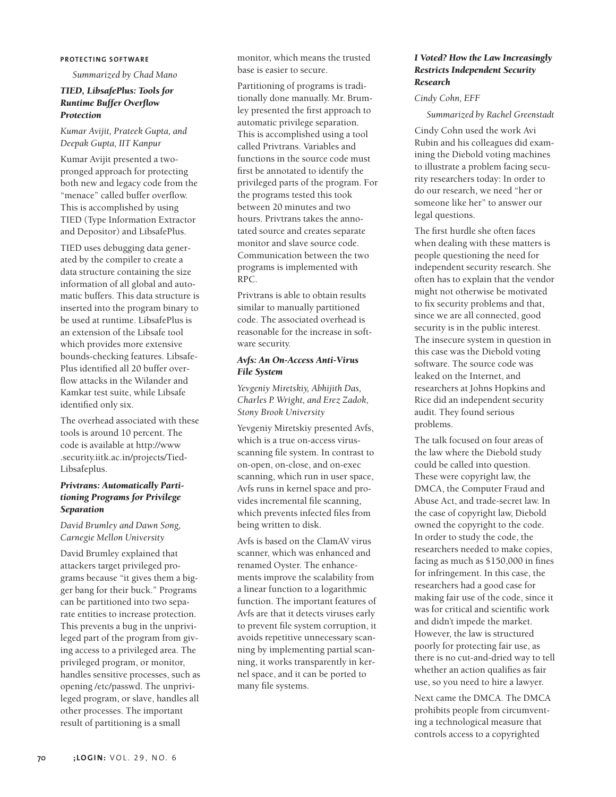#### **P ROTECTING SOFTWARE**

*Summarized by Chad Mano*

## *TIED, LibsafePlus: Tools for Runtime Buffer Overflow Protection*

*Kumar Avijit, Prateek Gupta, and Deepak Gupta, IIT Kanpur* 

Kumar Avijit presented a twopronged approach for protecting both new and legacy code from the "menace" called buffer overflow. This is accomplished by using TIED (Type Information Extractor and Depositor) and LibsafePlus.

TIED uses debugging data generated by the compiler to create a data structure containing the size information of all global and automatic buffers. This data structure is inserted into the program binary to be used at runtime. LibsafePlus is an extension of the Libsafe tool which provides more extensive bounds-checking features. Libsafe-Plus identified all 20 buffer overflow attacks in the Wilander and Kamkar test suite, while Libsafe identified only six.

The overhead associated with these tools is around 10 percent. The code is available at http://www .security.iitk.ac.in/projects/Tied-Libsafeplus.

## *Privtrans: Automatically Partitioning Programs for Privilege Separation*

*David Brumley and Dawn Song, Carnegie Mellon University* 

David Brumley explained that attackers target privileged programs because "it gives them a bigger bang for their buck." Programs can be partitioned into two separate entities to increase protection. This prevents a bug in the unprivileged part of the program from giving access to a privileged area. The privileged program, or monitor, handles sensitive processes, such as opening /etc/passwd. The unprivileged program, or slave, handles all other processes. The important result of partitioning is a small

monitor, which means the trusted base is easier to secure.

Partitioning of programs is traditionally done manually. Mr. Brumley presented the first approach to automatic privilege separation. This is accomplished using a tool called Privtrans. Variables and functions in the source code must first be annotated to identify the privileged parts of the program. For the programs tested this took between 20 minutes and two hours. Privtrans takes the annotated source and creates separate monitor and slave source code. Communication between the two programs is implemented with RPC.

Privtrans is able to obtain results similar to manually partitioned code. The associated overhead is reasonable for the increase in software security.

## *Avfs: An On-Access Anti-Virus File System*

*Yevgeniy Miretskiy, Abhijith Das, Charles P. Wright, and Erez Zadok, Stony Brook University*

Yevgeniy Miretskiy presented Avfs, which is a true on-access virusscanning file system. In contrast to on-open, on-close, and on-exec scanning, which run in user space, Avfs runs in kernel space and provides incremental file scanning, which prevents infected files from being written to disk.

Avfs is based on the ClamAV virus scanner, which was enhanced and renamed Oyster. The enhancements improve the scalability from a linear function to a logarithmic function. The important features of Avfs are that it detects viruses early to prevent file system corruption, it avoids repetitive unnecessary scanning by implementing partial scanning, it works transparently in kernel space, and it can be ported to many file systems.

## *I Voted? How the Law Increasingly Restricts Independent Security Research*

#### *Cindy Cohn, EFF*

*Summarized by Rachel Greenstadt*

Cindy Cohn used the work Avi Rubin and his colleagues did examining the Diebold voting machines to illustrate a problem facing security researchers today: In order to do our research, we need "her or someone like her" to answer our legal questions.

The first hurdle she often faces when dealing with these matters is people questioning the need for independent security research. She often has to explain that the vendor might not otherwise be motivated to fix security problems and that, since we are all connected, good security is in the public interest. The insecure system in question in this case was the Diebold voting software. The source code was leaked on the Internet, and researchers at Johns Hopkins and Rice did an independent security audit. They found serious problems.

The talk focused on four areas of the law where the Diebold study could be called into question. These were copyright law, the DMCA, the Computer Fraud and Abuse Act, and trade-secret law. In the case of copyright law, Diebold owned the copyright to the code. In order to study the code, the researchers needed to make copies, facing as much as \$150,000 in fines for infringement. In this case, the researchers had a good case for making fair use of the code, since it was for critical and scientific work and didn't impede the market. However, the law is structured poorly for protecting fair use, as there is no cut-and-dried way to tell whether an action qualifies as fair use, so you need to hire a lawyer.

Next came the DMCA. The DMCA prohibits people from circumventing a technological measure that controls access to a copyrighted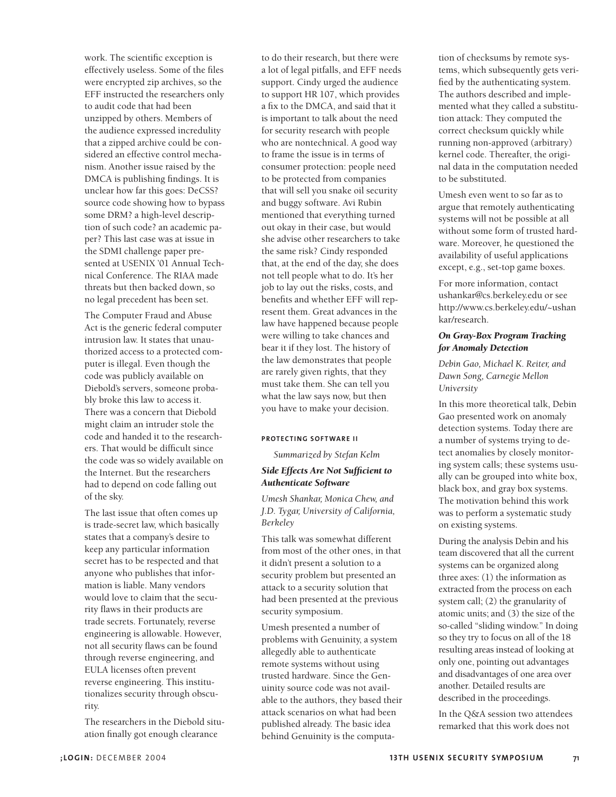work. The scientific exception is effectively useless. Some of the files were encrypted zip archives, so the EFF instructed the researchers only to audit code that had been unzipped by others. Members of the audience expressed incredulity that a zipped archive could be considered an effective control mechanism. Another issue raised by the DMCA is publishing findings. It is unclear how far this goes: DeCSS? source code showing how to bypass some DRM? a high-level description of such code? an academic paper? This last case was at issue in the SDMI challenge paper presented at USENIX '01 Annual Technical Conference. The RIAA made threats but then backed down, so no legal precedent has been set.

The Computer Fraud and Abuse Act is the generic federal computer intrusion law. It states that unauthorized access to a protected computer is illegal. Even though the code was publicly available on Diebold's servers, someone probably broke this law to access it. There was a concern that Diebold might claim an intruder stole the code and handed it to the researchers. That would be difficult since the code was so widely available on the Internet. But the researchers had to depend on code falling out of the sky.

The last issue that often comes up is trade-secret law, which basically states that a company's desire to keep any particular information secret has to be respected and that anyone who publishes that information is liable. Many vendors would love to claim that the security flaws in their products are trade secrets. Fortunately, reverse engineering is allowable. However, not all security flaws can be found through reverse engineering, and EULA licenses often prevent reverse engineering. This institutionalizes security through obscurity.

The researchers in the Diebold situation finally got enough clearance

to do their research, but there were a lot of legal pitfalls, and EFF needs support. Cindy urged the audience to support HR 107, which provides a fix to the DMCA, and said that it is important to talk about the need for security research with people who are nontechnical. A good way to frame the issue is in terms of consumer protection: people need to be protected from companies that will sell you snake oil security and buggy software. Avi Rubin mentioned that everything turned out okay in their case, but would she advise other researchers to take the same risk? Cindy responded that, at the end of the day, she does not tell people what to do. It's her job to lay out the risks, costs, and benefits and whether EFF will represent them. Great advances in the law have happened because people were willing to take chances and bear it if they lost. The history of the law demonstrates that people are rarely given rights, that they must take them. She can tell you what the law says now, but then you have to make your decision.

# **PROTECTING SOFTWARE II**

*Summarized by Stefan Kelm*

# *Side Effects Are Not Sufficient to Authenticate Software*

*Umesh Shankar, Monica Chew, and J.D. Tygar, University of California, Berkeley*

This talk was somewhat different from most of the other ones, in that it didn't present a solution to a security problem but presented an attack to a security solution that had been presented at the previous security symposium.

Umesh presented a number of problems with Genuinity, a system allegedly able to authenticate remote systems without using trusted hardware. Since the Genuinity source code was not available to the authors, they based their attack scenarios on what had been published already. The basic idea behind Genuinity is the computa-

tion of checksums by remote systems, which subsequently gets verified by the authenticating system. The authors described and implemented what they called a substitution attack: They computed the correct checksum quickly while running non-approved (arbitrary) kernel code. Thereafter, the original data in the computation needed to be substituted.

Umesh even went to so far as to argue that remotely authenticating systems will not be possible at all without some form of trusted hardware. Moreover, he questioned the availability of useful applications except, e.g., set-top game boxes.

For more information, contact ushankar@cs.berkeley.edu or see http://www.cs.berkeley.edu/~ushan kar/research.

# *On Gray-Box Program Tracking for Anomaly Detection*

*Debin Gao, Michael K. Reiter, and Dawn Song, Carnegie Mellon University*

In this more theoretical talk, Debin Gao presented work on anomaly detection systems. Today there are a number of systems trying to detect anomalies by closely monitoring system calls; these systems usually can be grouped into white box, black box, and gray box systems. The motivation behind this work was to perform a systematic study on existing systems.

During the analysis Debin and his team discovered that all the current systems can be organized along three axes: (1) the information as extracted from the process on each system call; (2) the granularity of atomic units; and (3) the size of the so-called "sliding window." In doing so they try to focus on all of the 18 resulting areas instead of looking at only one, pointing out advantages and disadvantages of one area over another. Detailed results are described in the proceedings.

In the Q&A session two attendees remarked that this work does not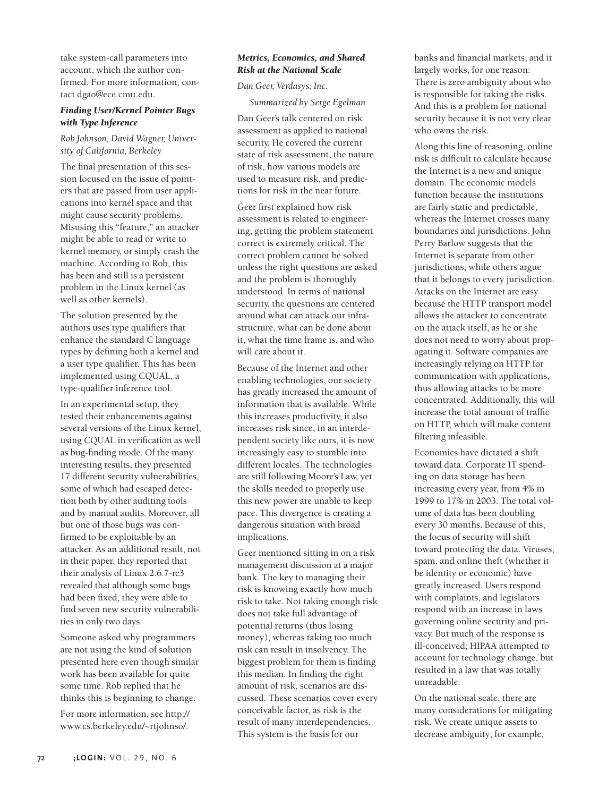take system-call parameters into account, which the author confirmed. For more information, contact dgao@ece.cmu.edu.

# *Finding User/Kernel Pointer Bugs with Type Inference*

*Rob Johnson, David Wagner, University of California, Berkeley*

The final presentation of this session focused on the issue of pointers that are passed from user applications into kernel space and that might cause security problems. Misusing this "feature," an attacker might be able to read or write to kernel memory, or simply crash the machine. According to Rob, this has been and still is a persistent problem in the Linux kernel (as well as other kernels).

The solution presented by the authors uses type qualifiers that enhance the standard C language types by defining both a kernel and a user type qualifier. This has been implemented using CQUAL, a type-qualifier inference tool.

In an experimental setup, they tested their enhancements against several versions of the Linux kernel, using CQUAL in verification as well as bug-finding mode. Of the many interesting results, they presented 17 different security vulnerabilities, some of which had escaped detection both by other auditing tools and by manual audits. Moreover, all but one of those bugs was confirmed to be exploitable by an attacker. As an additional result, not in their paper, they reported that their analysis of Linux 2.6.7-rc3 revealed that although some bugs had been fixed, they were able to find seven new security vulnerabilities in only two days.

Someone asked why programmers are not using the kind of solution presented here even though similar work has been available for quite some time. Rob replied that he thinks this is beginning to change.

For more information, see http:// www.cs.berkeley.edu/~rtjohnso/.

# *Metrics, Economics, and Shared Risk at the National Scale*

*Dan Geer, Verdasys, Inc.*

*Summarized by Serge Egelman*

Dan Geer's talk centered on risk assessment as applied to national security. He covered the current state of risk assessment, the nature of risk, how various models are used to measure risk, and predictions for risk in the near future.

Geer first explained how risk assessment is related to engineering; getting the problem statement correct is extremely critical. The correct problem cannot be solved unless the right questions are asked and the problem is thoroughly understood. In terms of national security, the questions are centered around what can attack our infrastructure, what can be done about it, what the time frame is, and who will care about it.

Because of the Internet and other enabling technologies, our society has greatly increased the amount of information that is available. While this increases productivity, it also increases risk since, in an interdependent society like ours, it is now increasingly easy to stumble into different locales. The technologies are still following Moore's Law, yet the skills needed to properly use this new power are unable to keep pace. This divergence is creating a dangerous situation with broad implications.

Geer mentioned sitting in on a risk management discussion at a major bank. The key to managing their risk is knowing exactly how much risk to take. Not taking enough risk does not take full advantage of potential returns (thus losing money), whereas taking too much risk can result in insolvency. The biggest problem for them is finding this median. In finding the right amount of risk, scenarios are discussed. These scenarios cover every conceivable factor, as risk is the result of many interdependencies. This system is the basis for our

banks and financial markets, and it largely works, for one reason: There is zero ambiguity about who is responsible for taking the risks. And this is a problem for national security because it is not very clear who owns the risk.

Along this line of reasoning, online risk is difficult to calculate because the Internet is a new and unique domain. The economic models function because the institutions are fairly static and predictable, whereas the Internet crosses many boundaries and jurisdictions. John Perry Barlow suggests that the Internet is separate from other jurisdictions, while others argue that it belongs to every jurisdiction. Attacks on the Internet are easy because the HTTP transport model allows the attacker to concentrate on the attack itself, as he or she does not need to worry about propagating it. Software companies are increasingly relying on HTTP for communication with applications, thus allowing attacks to be more concentrated. Additionally, this will increase the total amount of traffic on HTTP, which will make content filtering infeasible.

Economics have dictated a shift toward data. Corporate IT spending on data storage has been increasing every year, from 4% in 1999 to 17% in 2003. The total volume of data has been doubling every 30 months. Because of this, the focus of security will shift toward protecting the data. Viruses, spam, and online theft (whether it be identity or economic) have greatly increased. Users respond with complaints, and legislators respond with an increase in laws governing online security and privacy. But much of the response is ill-conceived; HIPAA attempted to account for technology change, but resulted in a law that was totally unreadable.

On the national scale, there are many considerations for mitigating risk. We create unique assets to decrease ambiguity; for example,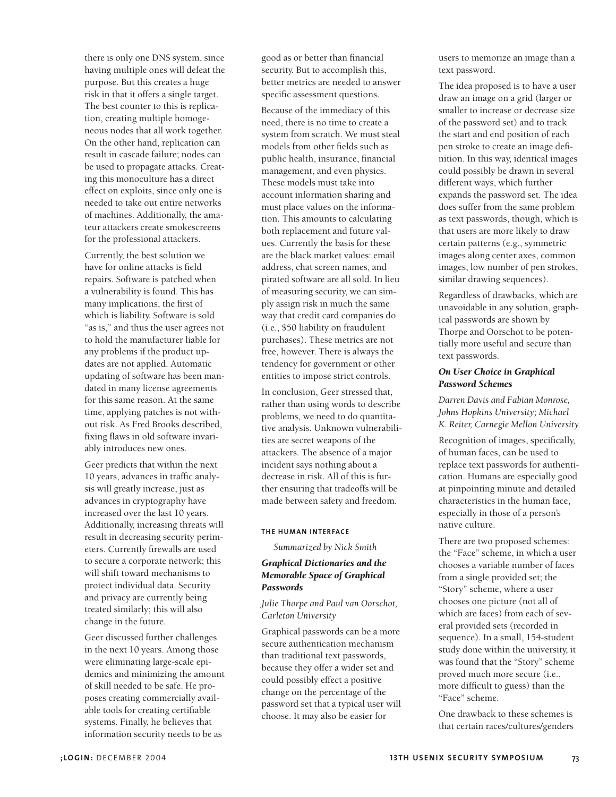there is only one DNS system, since having multiple ones will defeat the purpose. But this creates a huge risk in that it offers a single target. The best counter to this is replication, creating multiple homogeneous nodes that all work together. On the other hand, replication can result in cascade failure; nodes can be used to propagate attacks. Creating this monoculture has a direct effect on exploits, since only one is needed to take out entire networks of machines. Additionally, the amateur attackers create smokescreens for the professional attackers.

Currently, the best solution we have for online attacks is field repairs. Software is patched when a vulnerability is found. This has many implications, the first of which is liability. Software is sold "as is," and thus the user agrees not to hold the manufacturer liable for any problems if the product updates are not applied. Automatic updating of software has been mandated in many license agreements for this same reason. At the same time, applying patches is not without risk. As Fred Brooks described, fixing flaws in old software invariably introduces new ones.

Geer predicts that within the next 10 years, advances in traffic analysis will greatly increase, just as advances in cryptography have increased over the last 10 years. Additionally, increasing threats will result in decreasing security perimeters. Currently firewalls are used to secure a corporate network; this will shift toward mechanisms to protect individual data. Security and privacy are currently being treated similarly; this will also change in the future.

Geer discussed further challenges in the next 10 years. Among those were eliminating large-scale epidemics and minimizing the amount of skill needed to be safe. He proposes creating commercially available tools for creating certifiable systems. Finally, he believes that information security needs to be as

good as or better than financial security. But to accomplish this, better metrics are needed to answer specific assessment questions.

Because of the immediacy of this need, there is no time to create a system from scratch. We must steal models from other fields such as public health, insurance, financial management, and even physics. These models must take into account information sharing and must place values on the information. This amounts to calculating both replacement and future values. Currently the basis for these are the black market values: email address, chat screen names, and pirated software are all sold. In lieu of measuring security, we can simply assign risk in much the same way that credit card companies do (i.e., \$50 liability on fraudulent purchases). These metrics are not free, however. There is always the tendency for government or other entities to impose strict controls.

In conclusion, Geer stressed that, rather than using words to describe problems, we need to do quantitative analysis. Unknown vulnerabilities are secret weapons of the attackers. The absence of a major incident says nothing about a decrease in risk. All of this is further ensuring that tradeoffs will be made between safety and freedom.

#### **THE HUMAN INTERFACE**

*Summarized by Nick Smith* 

# *Graphical Dictionaries and the Memorable Space of Graphical Passwords*

*Julie Thorpe and Paul van Oorschot, Carleton University*

Graphical passwords can be a more secure authentication mechanism than traditional text passwords, because they offer a wider set and could possibly effect a positive change on the percentage of the password set that a typical user will choose. It may also be easier for

users to memorize an image than a text password.

The idea proposed is to have a user draw an image on a grid (larger or smaller to increase or decrease size of the password set) and to track the start and end position of each pen stroke to create an image definition. In this way, identical images could possibly be drawn in several different ways, which further expands the password set. The idea does suffer from the same problem as text passwords, though, which is that users are more likely to draw certain patterns (e.g., symmetric images along center axes, common images, low number of pen strokes, similar drawing sequences).

Regardless of drawbacks, which are unavoidable in any solution, graphical passwords are shown by Thorpe and Oorschot to be potentially more useful and secure than text passwords.

## *On User Choice in Graphical Password Schemes*

*Darren Davis and Fabian Monrose, Johns Hopkins University; Michael K. Reiter, Carnegie Mellon University*

Recognition of images, specifically, of human faces, can be used to replace text passwords for authentication. Humans are especially good at pinpointing minute and detailed characteristics in the human face, especially in those of a person's native culture.

There are two proposed schemes: the "Face" scheme, in which a user chooses a variable number of faces from a single provided set; the "Story" scheme, where a user chooses one picture (not all of which are faces) from each of several provided sets (recorded in sequence). In a small, 154-student study done within the university, it was found that the "Story" scheme proved much more secure (i.e., more difficult to guess) than the "Face" scheme.

One drawback to these schemes is that certain races/cultures/genders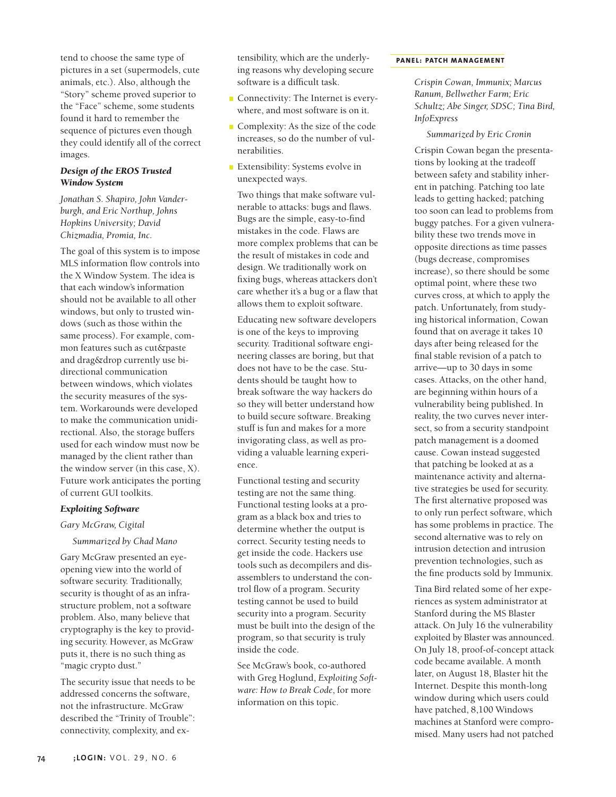tend to choose the same type of pictures in a set (supermodels, cute animals, etc.). Also, although the "Story" scheme proved superior to the "Face" scheme, some students found it hard to remember the sequence of pictures even though they could identify all of the correct images.

## *Design of the EROS Trusted Window System*

*Jonathan S. Shapiro, John Vanderburgh, and Eric Northup, Johns Hopkins University; David Chizmadia, Promia, Inc.*

The goal of this system is to impose MLS information flow controls into the X Window System. The idea is that each window's information should not be available to all other windows, but only to trusted windows (such as those within the same process). For example, common features such as cut&paste and drag&drop currently use bidirectional communication between windows, which violates the security measures of the system. Workarounds were developed to make the communication unidirectional. Also, the storage buffers used for each window must now be managed by the client rather than the window server (in this case, X). Future work anticipates the porting of current GUI toolkits.

#### *Exploiting Software*

#### *Gary McGraw, Cigital*

*Summarized by Chad Mano*

Gary McGraw presented an eyeopening view into the world of software security. Traditionally, security is thought of as an infrastructure problem, not a software problem. Also, many believe that cryptography is the key to providing security. However, as McGraw puts it, there is no such thing as "magic crypto dust."

The security issue that needs to be addressed concerns the software, not the infrastructure. McGraw described the "Trinity of Trouble": connectivity, complexity, and extensibility, which are the underlying reasons why developing secure software is a difficult task.

- Connectivity: The Internet is everywhere, and most software is on it.
- Complexity: As the size of the code increases, so do the number of vulnerabilities.
- **Extensibility:** Systems evolve in unexpected ways.

Two things that make software vulnerable to attacks: bugs and flaws. Bugs are the simple, easy-to-find mistakes in the code. Flaws are more complex problems that can be the result of mistakes in code and design. We traditionally work on fixing bugs, whereas attackers don't care whether it's a bug or a flaw that allows them to exploit software.

Educating new software developers is one of the keys to improving security. Traditional software engineering classes are boring, but that does not have to be the case. Students should be taught how to break software the way hackers do so they will better understand how to build secure software. Breaking stuff is fun and makes for a more invigorating class, as well as providing a valuable learning experience.

Functional testing and security testing are not the same thing. Functional testing looks at a program as a black box and tries to determine whether the output is correct. Security testing needs to get inside the code. Hackers use tools such as decompilers and disassemblers to understand the control flow of a program. Security testing cannot be used to build security into a program. Security must be built into the design of the program, so that security is truly inside the code.

See McGraw's book, co-authored with Greg Hoglund, *Exploiting Software: How to Break Code*, for more information on this topic.

#### **PANEL: PATCH MANAGEMENT**

*Crispin Cowan, Immunix; Marcus Ranum, Bellwether Farm; Eric Schultz; Abe Singer, SDSC; Tina Bird, InfoExpress*

#### *Summarized by Eric Cronin*

Crispin Cowan began the presentations by looking at the tradeoff between safety and stability inherent in patching. Patching too late leads to getting hacked; patching too soon can lead to problems from buggy patches. For a given vulnerability these two trends move in opposite directions as time passes (bugs decrease, compromises increase), so there should be some optimal point, where these two curves cross, at which to apply the patch. Unfortunately, from studying historical information, Cowan found that on average it takes 10 days after being released for the final stable revision of a patch to arrive—up to 30 days in some cases. Attacks, on the other hand, are beginning within hours of a vulnerability being published. In reality, the two curves never intersect, so from a security standpoint patch management is a doomed cause. Cowan instead suggested that patching be looked at as a maintenance activity and alternative strategies be used for security. The first alternative proposed was to only run perfect software, which has some problems in practice. The second alternative was to rely on intrusion detection and intrusion prevention technologies, such as the fine products sold by Immunix.

Tina Bird related some of her experiences as system administrator at Stanford during the MS Blaster attack. On July 16 the vulnerability exploited by Blaster was announced. On July 18, proof-of-concept attack code became available. A month later, on August 18, Blaster hit the Internet. Despite this month-long window during which users could have patched, 8,100 Windows machines at Stanford were compromised. Many users had not patched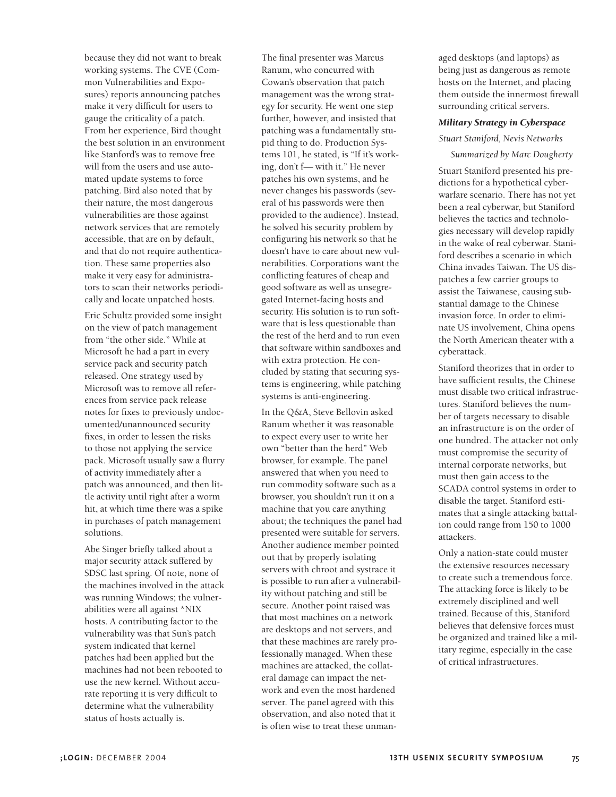because they did not want to break working systems. The CVE (Common Vulnerabilities and Exposures) reports announcing patches make it very difficult for users to gauge the criticality of a patch. From her experience, Bird thought the best solution in an environment like Stanford's was to remove free will from the users and use automated update systems to force patching. Bird also noted that by their nature, the most dangerous vulnerabilities are those against network services that are remotely accessible, that are on by default, and that do not require authentication. These same properties also make it very easy for administrators to scan their networks periodically and locate unpatched hosts.

Eric Schultz provided some insight on the view of patch management from "the other side." While at Microsoft he had a part in every service pack and security patch released. One strategy used by Microsoft was to remove all references from service pack release notes for fixes to previously undocumented/unannounced security fixes, in order to lessen the risks to those not applying the service pack. Microsoft usually saw a flurry of activity immediately after a patch was announced, and then little activity until right after a worm hit, at which time there was a spike in purchases of patch management solutions.

Abe Singer briefly talked about a major security attack suffered by SDSC last spring. Of note, none of the machines involved in the attack was running Windows; the vulnerabilities were all against \*NIX hosts. A contributing factor to the vulnerability was that Sun's patch system indicated that kernel patches had been applied but the machines had not been rebooted to use the new kernel. Without accurate reporting it is very difficult to determine what the vulnerability status of hosts actually is.

The final presenter was Marcus Ranum, who concurred with Cowan's observation that patch management was the wrong strategy for security. He went one step further, however, and insisted that patching was a fundamentally stupid thing to do. Production Systems 101, he stated, is "If it's working, don't f— with it." He never patches his own systems, and he never changes his passwords (several of his passwords were then provided to the audience). Instead, he solved his security problem by configuring his network so that he doesn't have to care about new vulnerabilities. Corporations want the conflicting features of cheap and good software as well as unsegregated Internet-facing hosts and security. His solution is to run software that is less questionable than the rest of the herd and to run even that software within sandboxes and with extra protection. He concluded by stating that securing systems is engineering, while patching systems is anti-engineering.

In the Q&A, Steve Bellovin asked Ranum whether it was reasonable to expect every user to write her own "better than the herd" Web browser, for example. The panel answered that when you need to run commodity software such as a browser, you shouldn't run it on a machine that you care anything about; the techniques the panel had presented were suitable for servers. Another audience member pointed out that by properly isolating servers with chroot and systrace it is possible to run after a vulnerability without patching and still be secure. Another point raised was that most machines on a network are desktops and not servers, and that these machines are rarely professionally managed. When these machines are attacked, the collateral damage can impact the network and even the most hardened server. The panel agreed with this observation, and also noted that it is often wise to treat these unman-

aged desktops (and laptops) as being just as dangerous as remote hosts on the Internet, and placing them outside the innermost firewall surrounding critical servers.

#### *Military Strategy in Cyberspace*

#### *Stuart Staniford, Nevis Networks*

# *Summarized by Marc Dougherty*

Stuart Staniford presented his predictions for a hypothetical cyberwarfare scenario. There has not yet been a real cyberwar, but Staniford believes the tactics and technologies necessary will develop rapidly in the wake of real cyberwar. Staniford describes a scenario in which China invades Taiwan. The US dispatches a few carrier groups to assist the Taiwanese, causing substantial damage to the Chinese invasion force. In order to eliminate US involvement, China opens the North American theater with a cyberattack.

Staniford theorizes that in order to have sufficient results, the Chinese must disable two critical infrastructures. Staniford believes the number of targets necessary to disable an infrastructure is on the order of one hundred. The attacker not only must compromise the security of internal corporate networks, but must then gain access to the SCADA control systems in order to disable the target. Staniford estimates that a single attacking battalion could range from 150 to 1000 attackers.

Only a nation-state could muster the extensive resources necessary to create such a tremendous force. The attacking force is likely to be extremely disciplined and well trained. Because of this, Staniford believes that defensive forces must be organized and trained like a military regime, especially in the case of critical infrastructures.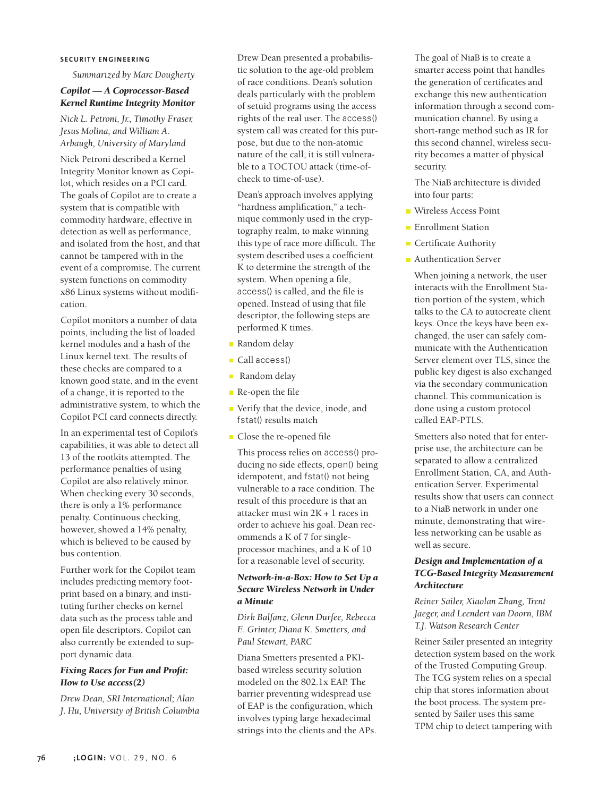#### **SECURITY ENGINEERING**

*Summarized by Marc Dougherty* 

# *Copilot — A Coprocessor-Based Kernel Runtime Integrity Monitor*

*Nick L. Petroni, Jr., Timothy Fraser, Jesus Molina, and William A. Arbaugh, University of Maryland*

Nick Petroni described a Kernel Integrity Monitor known as Copilot, which resides on a PCI card. The goals of Copilot are to create a system that is compatible with commodity hardware, effective in detection as well as performance, and isolated from the host, and that cannot be tampered with in the event of a compromise. The current system functions on commodity x86 Linux systems without modification.

Copilot monitors a number of data points, including the list of loaded kernel modules and a hash of the Linux kernel text. The results of these checks are compared to a known good state, and in the event of a change, it is reported to the administrative system, to which the Copilot PCI card connects directly.

In an experimental test of Copilot's capabilities, it was able to detect all 13 of the rootkits attempted. The performance penalties of using Copilot are also relatively minor. When checking every 30 seconds, there is only a 1% performance penalty. Continuous checking, however, showed a 14% penalty, which is believed to be caused by bus contention.

Further work for the Copilot team includes predicting memory footprint based on a binary, and instituting further checks on kernel data such as the process table and open file descriptors. Copilot can also currently be extended to support dynamic data.

# *Fixing Races for Fun and Profit: How to Use access(2)*

*Drew Dean, SRI International; Alan J. Hu, University of British Columbia*

Drew Dean presented a probabilistic solution to the age-old problem of race conditions. Dean's solution deals particularly with the problem of setuid programs using the access rights of the real user. The access() system call was created for this purpose, but due to the non-atomic nature of the call, it is still vulnerable to a TOCTOU attack (time-ofcheck to time-of-use).

Dean's approach involves applying "hardness amplification," a technique commonly used in the cryptography realm, to make winning this type of race more difficult. The system described uses a coefficient K to determine the strength of the system. When opening a file, access() is called, and the file is opened. Instead of using that file descriptor, the following steps are performed K times.

- Random delay
- Call access()
- **Random** delay
- Re-open the file
- Verify that the device, inode, and fstat() results match
- Close the re-opened file

This process relies on access() producing no side effects, open() being idempotent, and fstat() not being vulnerable to a race condition. The result of this procedure is that an attacker must win 2K + 1 races in order to achieve his goal. Dean recommends a K of 7 for singleprocessor machines, and a K of 10 for a reasonable level of security.

## *Network-in-a-Box: How to Set Up a Secure Wireless Network in Under a Minute*

*Dirk Balfanz, Glenn Durfee, Rebecca E. Grinter, Diana K. Smetters, and Paul Stewart, PARC*

Diana Smetters presented a PKIbased wireless security solution modeled on the 802.1x EAP. The barrier preventing widespread use of EAP is the configuration, which involves typing large hexadecimal strings into the clients and the APs. The goal of NiaB is to create a smarter access point that handles the generation of certificates and exchange this new authentication information through a second communication channel. By using a short-range method such as IR for this second channel, wireless security becomes a matter of physical security.

The NiaB architecture is divided into four parts:

- Wireless Access Point
- **Enrollment Station**
- **Certificate Authority**
- **Authentication Server**

When joining a network, the user interacts with the Enrollment Station portion of the system, which talks to the CA to autocreate client keys. Once the keys have been exchanged, the user can safely communicate with the Authentication Server element over TLS, since the public key digest is also exchanged via the secondary communication channel. This communication is done using a custom protocol called EAP-PTLS.

Smetters also noted that for enterprise use, the architecture can be separated to allow a centralized Enrollment Station, CA, and Authentication Server. Experimental results show that users can connect to a NiaB network in under one minute, demonstrating that wireless networking can be usable as well as secure.

## *Design and Implementation of a TCG-Based Integrity Measurement Architecture*

*Reiner Sailer, Xiaolan Zhang, Trent Jaeger, and Leendert van Doorn, IBM T.J. Watson Research Center*

Reiner Sailer presented an integrity detection system based on the work of the Trusted Computing Group. The TCG system relies on a special chip that stores information about the boot process. The system presented by Sailer uses this same TPM chip to detect tampering with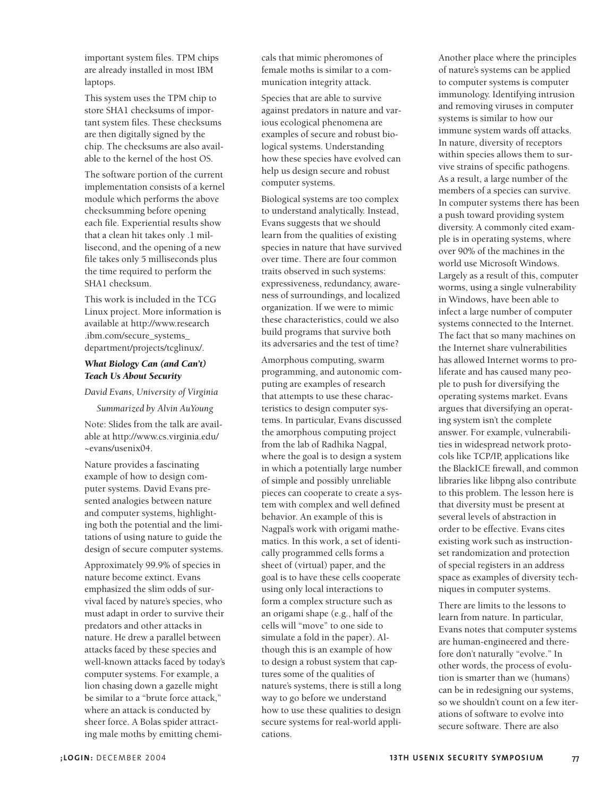important system files. TPM chips are already installed in most IBM laptops.

This system uses the TPM chip to store SHA1 checksums of important system files. These checksums are then digitally signed by the chip. The checksums are also available to the kernel of the host OS.

The software portion of the current implementation consists of a kernel module which performs the above checksumming before opening each file. Experiential results show that a clean hit takes only .1 millisecond, and the opening of a new file takes only 5 milliseconds plus the time required to perform the SHA1 checksum.

This work is included in the TCG Linux project. More information is available at http://www.research .ibm.com/secure\_systems\_ department/projects/tcglinux/.

## *What Biology Can (and Can't) Teach Us About Security*

*David Evans, University of Virginia*

*Summarized by Alvin AuYoung*

Note: Slides from the talk are available at http://www.cs.virginia.edu/ ~evans/usenix04.

Nature provides a fascinating example of how to design computer systems. David Evans presented analogies between nature and computer systems, highlighting both the potential and the limitations of using nature to guide the design of secure computer systems.

Approximately 99.9% of species in nature become extinct. Evans emphasized the slim odds of survival faced by nature's species, who must adapt in order to survive their predators and other attacks in nature. He drew a parallel between attacks faced by these species and well-known attacks faced by today's computer systems. For example, a lion chasing down a gazelle might be similar to a "brute force attack," where an attack is conducted by sheer force. A Bolas spider attracting male moths by emitting chemi-

cals that mimic pheromones of female moths is similar to a communication integrity attack.

Species that are able to survive against predators in nature and various ecological phenomena are examples of secure and robust biological systems. Understanding how these species have evolved can help us design secure and robust computer systems.

Biological systems are too complex to understand analytically. Instead, Evans suggests that we should learn from the qualities of existing species in nature that have survived over time. There are four common traits observed in such systems: expressiveness, redundancy, awareness of surroundings, and localized organization. If we were to mimic these characteristics, could we also build programs that survive both its adversaries and the test of time?

Amorphous computing, swarm programming, and autonomic computing are examples of research that attempts to use these characteristics to design computer systems. In particular, Evans discussed the amorphous computing project from the lab of Radhika Nagpal, where the goal is to design a system in which a potentially large number of simple and possibly unreliable pieces can cooperate to create a system with complex and well defined behavior. An example of this is Nagpal's work with origami mathematics. In this work, a set of identically programmed cells forms a sheet of (virtual) paper, and the goal is to have these cells cooperate using only local interactions to form a complex structure such as an origami shape (e.g., half of the cells will "move" to one side to simulate a fold in the paper). Although this is an example of how to design a robust system that captures some of the qualities of nature's systems, there is still a long way to go before we understand how to use these qualities to design secure systems for real-world applications.

Another place where the principles of nature's systems can be applied to computer systems is computer immunology. Identifying intrusion and removing viruses in computer systems is similar to how our immune system wards off attacks. In nature, diversity of receptors within species allows them to survive strains of specific pathogens. As a result, a large number of the members of a species can survive. In computer systems there has been a push toward providing system diversity. A commonly cited example is in operating systems, where over 90% of the machines in the world use Microsoft Windows. Largely as a result of this, computer worms, using a single vulnerability in Windows, have been able to infect a large number of computer systems connected to the Internet. The fact that so many machines on the Internet share vulnerabilities has allowed Internet worms to proliferate and has caused many people to push for diversifying the operating systems market. Evans argues that diversifying an operating system isn't the complete answer. For example, vulnerabilities in widespread network protocols like TCP/IP, applications like the BlackICE firewall, and common libraries like libpng also contribute to this problem. The lesson here is that diversity must be present at several levels of abstraction in order to be effective. Evans cites existing work such as instructionset randomization and protection of special registers in an address space as examples of diversity techniques in computer systems.

There are limits to the lessons to learn from nature. In particular, Evans notes that computer systems are human-engineered and therefore don't naturally "evolve." In other words, the process of evolution is smarter than we (humans) can be in redesigning our systems, so we shouldn't count on a few iterations of software to evolve into secure software. There are also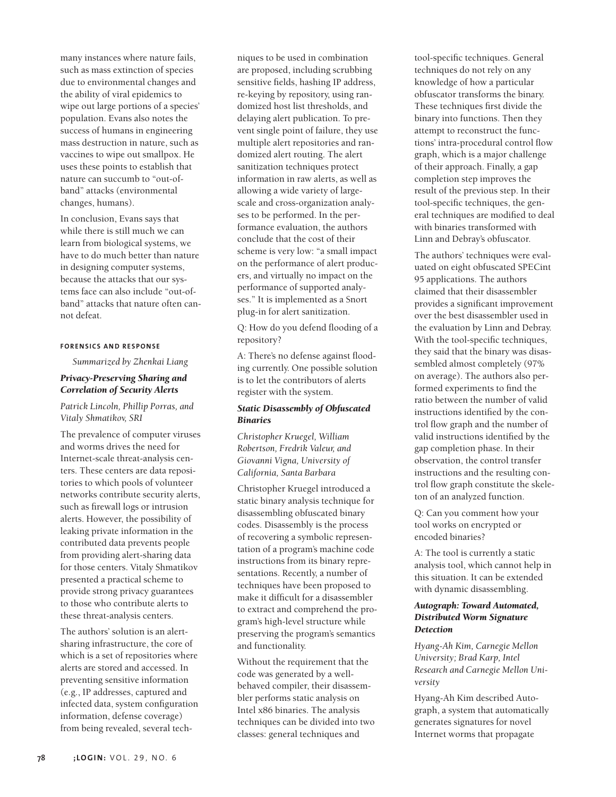many instances where nature fails, such as mass extinction of species due to environmental changes and the ability of viral epidemics to wipe out large portions of a species' population. Evans also notes the success of humans in engineering mass destruction in nature, such as vaccines to wipe out smallpox. He uses these points to establish that nature can succumb to "out-ofband" attacks (environmental changes, humans).

In conclusion, Evans says that while there is still much we can learn from biological systems, we have to do much better than nature in designing computer systems, because the attacks that our systems face can also include "out-ofband" attacks that nature often cannot defeat.

#### **FO RENSICS AND RESPONSE**

*Summarized by Zhenkai Liang*

# *Privacy-Preserving Sharing and Correlation of Security Alerts*

*Patrick Lincoln, Phillip Porras, and Vitaly Shmatikov, SRI*

The prevalence of computer viruses and worms drives the need for Internet-scale threat-analysis centers. These centers are data repositories to which pools of volunteer networks contribute security alerts, such as firewall logs or intrusion alerts. However, the possibility of leaking private information in the contributed data prevents people from providing alert-sharing data for those centers. Vitaly Shmatikov presented a practical scheme to provide strong privacy guarantees to those who contribute alerts to these threat-analysis centers.

The authors' solution is an alertsharing infrastructure, the core of which is a set of repositories where alerts are stored and accessed. In preventing sensitive information (e.g., IP addresses, captured and infected data, system configuration information, defense coverage) from being revealed, several tech-

niques to be used in combination are proposed, including scrubbing sensitive fields, hashing IP address, re-keying by repository, using randomized host list thresholds, and delaying alert publication. To prevent single point of failure, they use multiple alert repositories and randomized alert routing. The alert sanitization techniques protect information in raw alerts, as well as allowing a wide variety of largescale and cross-organization analyses to be performed. In the performance evaluation, the authors conclude that the cost of their scheme is very low: "a small impact on the performance of alert producers, and virtually no impact on the performance of supported analyses." It is implemented as a Snort plug-in for alert sanitization.

Q: How do you defend flooding of a repository?

A: There's no defense against flooding currently. One possible solution is to let the contributors of alerts register with the system.

## *Static Disassembly of Obfuscated Binaries*

*Christopher Kruegel, William Robertson, Fredrik Valeur, and Giovanni Vigna, University of California, Santa Barbara* 

Christopher Kruegel introduced a static binary analysis technique for disassembling obfuscated binary codes. Disassembly is the process of recovering a symbolic representation of a program's machine code instructions from its binary representations. Recently, a number of techniques have been proposed to make it difficult for a disassembler to extract and comprehend the program's high-level structure while preserving the program's semantics and functionality.

Without the requirement that the code was generated by a wellbehaved compiler, their disassembler performs static analysis on Intel x86 binaries. The analysis techniques can be divided into two classes: general techniques and

tool-specific techniques. General techniques do not rely on any knowledge of how a particular obfuscator transforms the binary. These techniques first divide the binary into functions. Then they attempt to reconstruct the functions' intra-procedural control flow graph, which is a major challenge of their approach. Finally, a gap completion step improves the result of the previous step. In their tool-specific techniques, the general techniques are modified to deal with binaries transformed with Linn and Debray's obfuscator.

The authors' techniques were evaluated on eight obfuscated SPECint 95 applications. The authors claimed that their disassembler provides a significant improvement over the best disassembler used in the evaluation by Linn and Debray. With the tool-specific techniques, they said that the binary was disassembled almost completely (97% on average). The authors also performed experiments to find the ratio between the number of valid instructions identified by the control flow graph and the number of valid instructions identified by the gap completion phase. In their observation, the control transfer instructions and the resulting control flow graph constitute the skeleton of an analyzed function.

Q: Can you comment how your tool works on encrypted or encoded binaries?

A: The tool is currently a static analysis tool, which cannot help in this situation. It can be extended with dynamic disassembling.

## *Autograph: Toward Automated, Distributed Worm Signature Detection*

*Hyang-Ah Kim, Carnegie Mellon University; Brad Karp, Intel Research and Carnegie Mellon University*

Hyang-Ah Kim described Autograph, a system that automatically generates signatures for novel Internet worms that propagate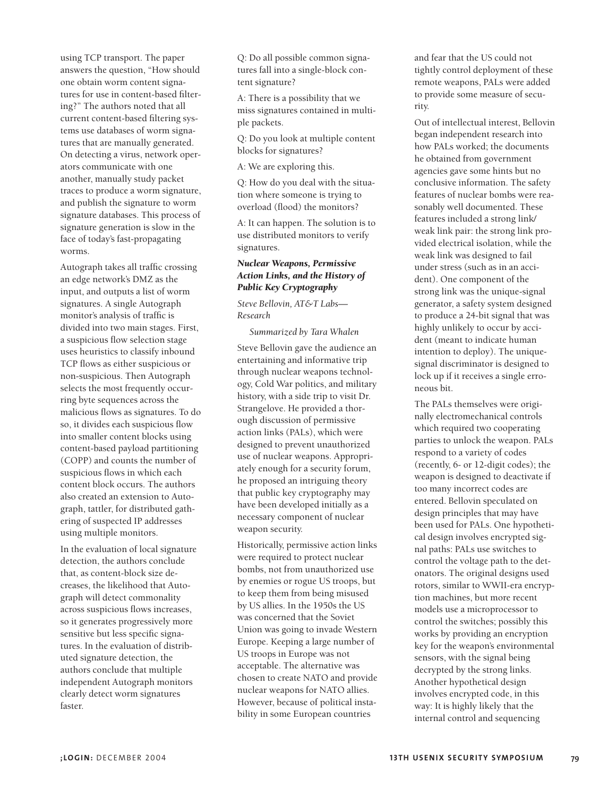using TCP transport. The paper answers the question, "How should one obtain worm content signatures for use in content-based filtering?" The authors noted that all current content-based filtering systems use databases of worm signatures that are manually generated. On detecting a virus, network operators communicate with one another, manually study packet traces to produce a worm signature, and publish the signature to worm signature databases. This process of signature generation is slow in the face of today's fast-propagating worms.

Autograph takes all traffic crossing an edge network's DMZ as the input, and outputs a list of worm signatures. A single Autograph monitor's analysis of traffic is divided into two main stages. First, a suspicious flow selection stage uses heuristics to classify inbound TCP flows as either suspicious or non-suspicious. Then Autograph selects the most frequently occurring byte sequences across the malicious flows as signatures. To do so, it divides each suspicious flow into smaller content blocks using content-based payload partitioning (COPP) and counts the number of suspicious flows in which each content block occurs. The authors also created an extension to Autograph, tattler, for distributed gathering of suspected IP addresses using multiple monitors.

In the evaluation of local signature detection, the authors conclude that, as content-block size decreases, the likelihood that Autograph will detect commonality across suspicious flows increases, so it generates progressively more sensitive but less specific signatures. In the evaluation of distributed signature detection, the authors conclude that multiple independent Autograph monitors clearly detect worm signatures faster.

Q: Do all possible common signatures fall into a single-block content signature?

A: There is a possibility that we miss signatures contained in multiple packets.

Q: Do you look at multiple content blocks for signatures?

A: We are exploring this.

Q: How do you deal with the situation where someone is trying to overload (flood) the monitors?

A: It can happen. The solution is to use distributed monitors to verify signatures.

# *Nuclear Weapons, Permissive Action Links, and the History of Public Key Cryptography*

*Steve Bellovin, AT&T Labs— Research*

*Summarized by Tara Whalen*

Steve Bellovin gave the audience an entertaining and informative trip through nuclear weapons technology, Cold War politics, and military history, with a side trip to visit Dr. Strangelove. He provided a thorough discussion of permissive action links (PALs), which were designed to prevent unauthorized use of nuclear weapons. Appropriately enough for a security forum, he proposed an intriguing theory that public key cryptography may have been developed initially as a necessary component of nuclear weapon security.

Historically, permissive action links were required to protect nuclear bombs, not from unauthorized use by enemies or rogue US troops, but to keep them from being misused by US allies. In the 1950s the US was concerned that the Soviet Union was going to invade Western Europe. Keeping a large number of US troops in Europe was not acceptable. The alternative was chosen to create NATO and provide nuclear weapons for NATO allies. However, because of political instability in some European countries

and fear that the US could not tightly control deployment of these remote weapons, PALs were added to provide some measure of security.

Out of intellectual interest, Bellovin began independent research into how PALs worked; the documents he obtained from government agencies gave some hints but no conclusive information. The safety features of nuclear bombs were reasonably well documented. These features included a strong link/ weak link pair: the strong link provided electrical isolation, while the weak link was designed to fail under stress (such as in an accident). One component of the strong link was the unique-signal generator, a safety system designed to produce a 24-bit signal that was highly unlikely to occur by accident (meant to indicate human intention to deploy). The uniquesignal discriminator is designed to lock up if it receives a single erroneous bit.

The PALs themselves were originally electromechanical controls which required two cooperating parties to unlock the weapon. PALs respond to a variety of codes (recently, 6- or 12-digit codes); the weapon is designed to deactivate if too many incorrect codes are entered. Bellovin speculated on design principles that may have been used for PALs. One hypothetical design involves encrypted signal paths: PALs use switches to control the voltage path to the detonators. The original designs used rotors, similar to WWII-era encryption machines, but more recent models use a microprocessor to control the switches; possibly this works by providing an encryption key for the weapon's environmental sensors, with the signal being decrypted by the strong links. Another hypothetical design involves encrypted code, in this way: It is highly likely that the internal control and sequencing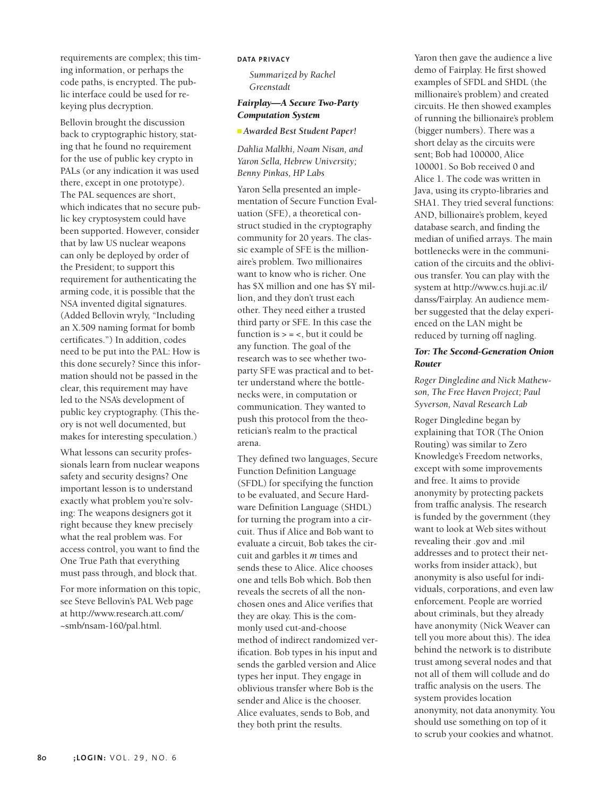requirements are complex; this timing information, or perhaps the code paths, is encrypted. The public interface could be used for rekeying plus decryption.

Bellovin brought the discussion back to cryptographic history, stating that he found no requirement for the use of public key crypto in PALs (or any indication it was used there, except in one prototype). The PAL sequences are short, which indicates that no secure public key cryptosystem could have been supported. However, consider that by law US nuclear weapons can only be deployed by order of the President; to support this requirement for authenticating the arming code, it is possible that the NSA invented digital signatures. (Added Bellovin wryly, "Including an X.509 naming format for bomb certificates.") In addition, codes need to be put into the PAL: How is this done securely? Since this information should not be passed in the clear, this requirement may have led to the NSA's development of public key cryptography. (This theory is not well documented, but makes for interesting speculation.)

What lessons can security professionals learn from nuclear weapons safety and security designs? One important lesson is to understand exactly what problem you're solving: The weapons designers got it right because they knew precisely what the real problem was. For access control, you want to find the One True Path that everything must pass through, and block that.

For more information on this topic, see Steve Bellovin's PAL Web page at http://www.research.att.com/ ~smb/nsam-160/pal.html.

#### **DATA PRIVACY**

*Summarized by Rachel Greenstadt* 

#### *Fairplay—A Secure Two-Party Computation System*

#### *Awarded Best Student Paper!*

*Dahlia Malkhi, Noam Nisan, and Yaron Sella, Hebrew University; Benny Pinkas, HP Labs* 

Yaron Sella presented an implementation of Secure Function Evaluation (SFE), a theoretical construct studied in the cryptography community for 20 years. The classic example of SFE is the millionaire's problem. Two millionaires want to know who is richer. One has \$X million and one has \$Y million, and they don't trust each other. They need either a trusted third party or SFE. In this case the function is  $> = <$ , but it could be any function. The goal of the research was to see whether twoparty SFE was practical and to better understand where the bottlenecks were, in computation or communication. They wanted to push this protocol from the theoretician's realm to the practical arena.

They defined two languages, Secure Function Definition Language (SFDL) for specifying the function to be evaluated, and Secure Hardware Definition Language (SHDL) for turning the program into a circuit. Thus if Alice and Bob want to evaluate a circuit, Bob takes the circuit and garbles it *m* times and sends these to Alice. Alice chooses one and tells Bob which. Bob then reveals the secrets of all the nonchosen ones and Alice verifies that they are okay. This is the commonly used cut-and-choose method of indirect randomized verification. Bob types in his input and sends the garbled version and Alice types her input. They engage in oblivious transfer where Bob is the sender and Alice is the chooser. Alice evaluates, sends to Bob, and they both print the results.

Yaron then gave the audience a live demo of Fairplay. He first showed examples of SFDL and SHDL (the millionaire's problem) and created circuits. He then showed examples of running the billionaire's problem (bigger numbers). There was a short delay as the circuits were sent; Bob had 100000, Alice 100001. So Bob received 0 and Alice 1. The code was written in Java, using its crypto-libraries and SHA1. They tried several functions: AND, billionaire's problem, keyed database search, and finding the median of unified arrays. The main bottlenecks were in the communication of the circuits and the oblivious transfer. You can play with the system at http://www.cs.huji.ac.il/ danss/Fairplay. An audience member suggested that the delay experienced on the LAN might be reduced by turning off nagling.

## *Tor: The Second-Generation Onion Router*

*Roger Dingledine and Nick Mathewson, The Free Haven Project; Paul Syverson, Naval Research Lab*

Roger Dingledine began by explaining that TOR (The Onion Routing) was similar to Zero Knowledge's Freedom networks, except with some improvements and free. It aims to provide anonymity by protecting packets from traffic analysis. The research is funded by the government (they want to look at Web sites without revealing their .gov and .mil addresses and to protect their networks from insider attack), but anonymity is also useful for individuals, corporations, and even law enforcement. People are worried about criminals, but they already have anonymity (Nick Weaver can tell you more about this). The idea behind the network is to distribute trust among several nodes and that not all of them will collude and do traffic analysis on the users. The system provides location anonymity, not data anonymity. You should use something on top of it to scrub your cookies and whatnot.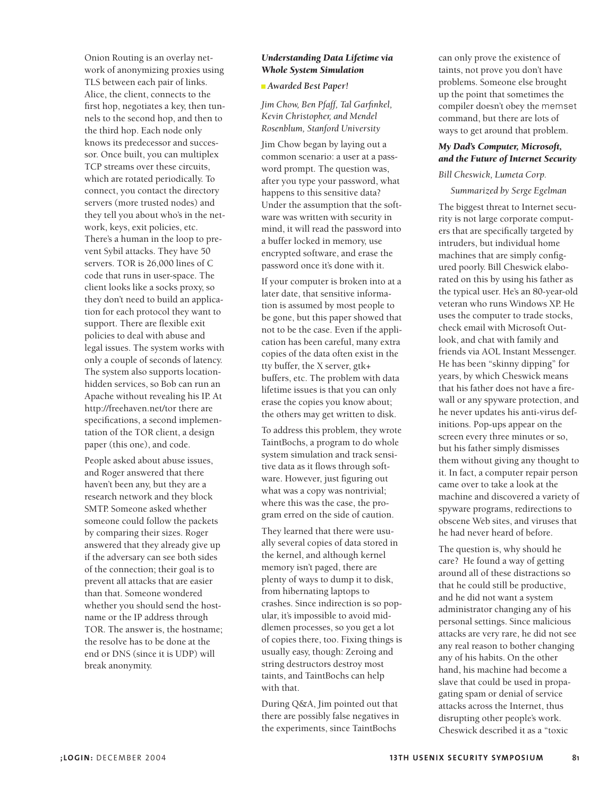Onion Routing is an overlay network of anonymizing proxies using TLS between each pair of links. Alice, the client, connects to the first hop, negotiates a key, then tunnels to the second hop, and then to the third hop. Each node only knows its predecessor and successor. Once built, you can multiplex TCP streams over these circuits, which are rotated periodically. To connect, you contact the directory servers (more trusted nodes) and they tell you about who's in the network, keys, exit policies, etc. There's a human in the loop to prevent Sybil attacks. They have 50 servers. TOR is 26,000 lines of C code that runs in user-space. The client looks like a socks proxy, so they don't need to build an application for each protocol they want to support. There are flexible exit policies to deal with abuse and legal issues. The system works with only a couple of seconds of latency. The system also supports locationhidden services, so Bob can run an Apache without revealing his IP. At http://freehaven.net/tor there are specifications, a second implementation of the TOR client, a design paper (this one), and code.

People asked about abuse issues, and Roger answered that there haven't been any, but they are a research network and they block SMTP. Someone asked whether someone could follow the packets by comparing their sizes. Roger answered that they already give up if the adversary can see both sides of the connection; their goal is to prevent all attacks that are easier than that. Someone wondered whether you should send the hostname or the IP address through TOR. The answer is, the hostname; the resolve has to be done at the end or DNS (since it is UDP) will break anonymity.

# *Understanding Data Lifetime via Whole System Simulation*

*Awarded Best Paper!*

*Jim Chow, Ben Pfaff, Tal Garfinkel, Kevin Christopher, and Mendel Rosenblum, Stanford University* 

Jim Chow began by laying out a common scenario: a user at a password prompt. The question was, after you type your password, what happens to this sensitive data? Under the assumption that the software was written with security in mind, it will read the password into a buffer locked in memory, use encrypted software, and erase the password once it's done with it.

If your computer is broken into at a later date, that sensitive information is assumed by most people to be gone, but this paper showed that not to be the case. Even if the application has been careful, many extra copies of the data often exist in the tty buffer, the X server, gtk+ buffers, etc. The problem with data lifetime issues is that you can only erase the copies you know about; the others may get written to disk.

To address this problem, they wrote TaintBochs, a program to do whole system simulation and track sensitive data as it flows through software. However, just figuring out what was a copy was nontrivial; where this was the case, the program erred on the side of caution.

They learned that there were usually several copies of data stored in the kernel, and although kernel memory isn't paged, there are plenty of ways to dump it to disk, from hibernating laptops to crashes. Since indirection is so popular, it's impossible to avoid middlemen processes, so you get a lot of copies there, too. Fixing things is usually easy, though: Zeroing and string destructors destroy most taints, and TaintBochs can help with that.

During Q&A, Jim pointed out that there are possibly false negatives in the experiments, since TaintBochs

can only prove the existence of taints, not prove you don't have problems. Someone else brought up the point that sometimes the compiler doesn't obey the memset command, but there are lots of ways to get around that problem.

# *My Dad's Computer, Microsoft, and the Future of Internet Security*

#### *Bill Cheswick, Lumeta Corp.*

*Summarized by Serge Egelman*

The biggest threat to Internet security is not large corporate computers that are specifically targeted by intruders, but individual home machines that are simply configured poorly. Bill Cheswick elaborated on this by using his father as the typical user. He's an 80-year-old veteran who runs Windows XP. He uses the computer to trade stocks, check email with Microsoft Outlook, and chat with family and friends via AOL Instant Messenger. He has been "skinny dipping" for years, by which Cheswick means that his father does not have a firewall or any spyware protection, and he never updates his anti-virus definitions. Pop-ups appear on the screen every three minutes or so, but his father simply dismisses them without giving any thought to it. In fact, a computer repair person came over to take a look at the machine and discovered a variety of spyware programs, redirections to obscene Web sites, and viruses that he had never heard of before.

The question is, why should he care? He found a way of getting around all of these distractions so that he could still be productive, and he did not want a system administrator changing any of his personal settings. Since malicious attacks are very rare, he did not see any real reason to bother changing any of his habits. On the other hand, his machine had become a slave that could be used in propagating spam or denial of service attacks across the Internet, thus disrupting other people's work. Cheswick described it as a "toxic